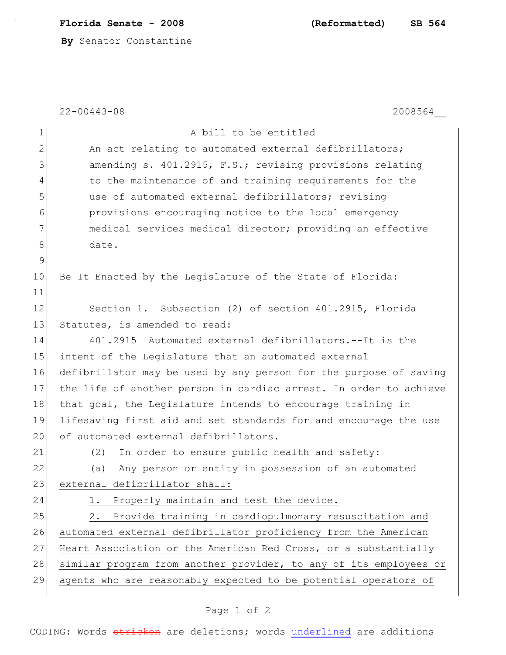**Florida Senate - 2008 (Reformatted) SB 564**

**By** Senator Constantine

22-00443-08 2008564\_\_

| $\mathbf 1$  | A bill to be entitled                                             |
|--------------|-------------------------------------------------------------------|
| $\mathbf{2}$ | An act relating to automated external defibrillators;             |
| 3            | amending s. 401.2915, F.S.; revising provisions relating          |
| 4            | to the maintenance of and training requirements for the           |
| 5            | use of automated external defibrillators; revising                |
| 6            | provisions encouraging notice to the local emergency              |
| 7            | medical services medical director; providing an effective         |
| 8            | date.                                                             |
| 9            |                                                                   |
| 10           | Be It Enacted by the Legislature of the State of Florida:         |
| 11           |                                                                   |
| 12           | Section 1. Subsection (2) of section 401.2915, Florida            |
| 13           | Statutes, is amended to read:                                     |
| 14           | 401.2915 Automated external defibrillators.--It is the            |
| 15           | intent of the Legislature that an automated external              |
| 16           | defibrillator may be used by any person for the purpose of saving |
| 17           | the life of another person in cardiac arrest. In order to achieve |
| 18           | that goal, the Legislature intends to encourage training in       |
| 19           | lifesaving first aid and set standards for and encourage the use  |
| 20           | of automated external defibrillators.                             |
| 21           | (2)<br>In order to ensure public health and safety:               |
| 22           | Any person or entity in possession of an automated<br>(a)         |
| 23           | external defibrillator shall:                                     |
| 24           | Properly maintain and test the device.                            |
| 25           | Provide training in cardiopulmonary resuscitation and<br>2.       |
| 26           | automated external defibrillator proficiency from the American    |
| 27           | Heart Association or the American Red Cross, or a substantially   |
| 28           | similar program from another provider, to any of its employees or |
| 29           | agents who are reasonably expected to be potential operators of   |

## Page 1 of 2

CODING: Words stricken are deletions; words underlined are additions